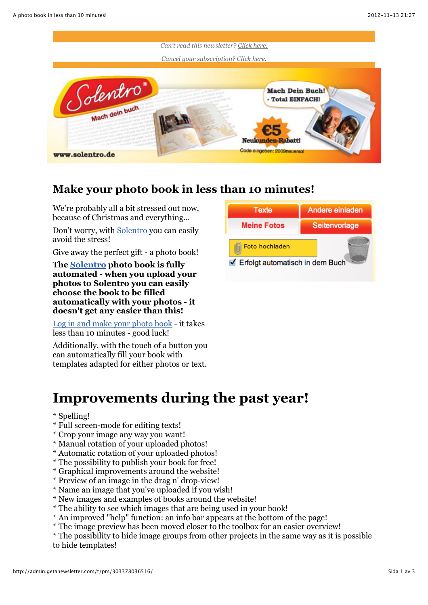

### **Make your photo book in less than 10 minutes!**

We're probably all a bit stressed out now, because of Christmas and everything...

Don't worry, with [Solentro](http://www.solentro.de/) you can easily avoid the stress!

Give away the perfect gift - a photo book!

**The [Solentro](http://www.solentro.de/) photo book is fully automated - when you upload your photos to Solentro you can easily choose the book to be filled automatically with your photos - it doesn't get any easier than this!**

[Log in and make your photo book](http://www.solentro.de/) - it takes less than 10 minutes - good luck!

Additionally, with the touch of a button you can automatically fill your book with templates adapted for either photos or text.



## **Improvements during the past year!**

#### \* Spelling!

- \* Full screen-mode for editing texts!
- \* Crop your image any way you want!
- \* Manual rotation of your uploaded photos!
- \* Automatic rotation of your uploaded photos!
- \* The possibility to publish your book for free!
- \* Graphical improvements around the website!
- \* Preview of an image in the drag n' drop-view!
- \* Name an image that you've uploaded if you wish!
- \* New images and examples of books around the website!
- \* The ability to see which images that are being used in your book!
- \* An improved "help" function: an info bar appears at the bottom of the page!
- \* The image preview has been moved closer to the toolbox for an easier overview!

\* The possibility to hide image groups from other projects in the same way as it is possible to hide templates!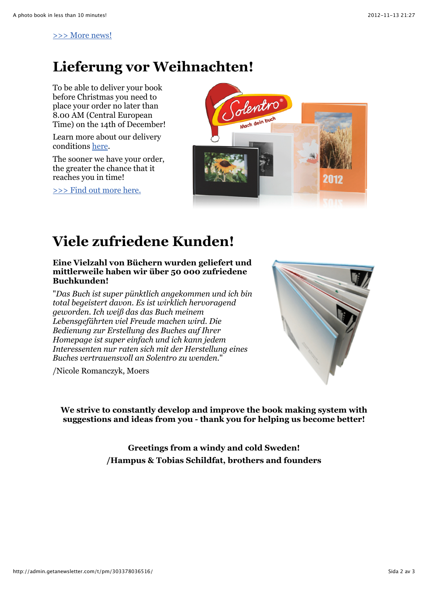[>>> More news!](http://www.solentro.de/news)

### **Lieferung vor Weihnachten!**

To be able to deliver your book before Christmas you need to place your order no later than 8.00 AM (Central European Time) on the 14th of December!

Learn more about our delivery conditions [here](http://www.solentro.de/buchversand).

The sooner we have your order, the greater the chance that it reaches you in time!

[>>> Find out more here.](http://www.solentro.de/buchversand)



# **Viele zufriedene Kunden!**

**Eine Vielzahl von Büchern wurden geliefert und mittlerweile haben wir über 50 000 zufriedene Buchkunden!**

"*Das Buch ist super pünktlich angekommen und ich bin total begeistert davon. Es ist wirklich hervoragend geworden. Ich weiß das das Buch meinem Lebensgefährten viel Freude machen wird. Die Bedienung zur Erstellung des Buches auf Ihrer Homepage ist super einfach und ich kann jedem Interessenten nur raten sich mit der Herstellung eines Buches vertrauensvoll an Solentro zu wenden.*"

/Nicole Romanczyk, Moers



**We strive to constantly develop and improve the book making system with suggestions and ideas from you - thank you for helping us become better!**

> **Greetings from a windy and cold Sweden! /Hampus & Tobias Schildfat, brothers and founders**